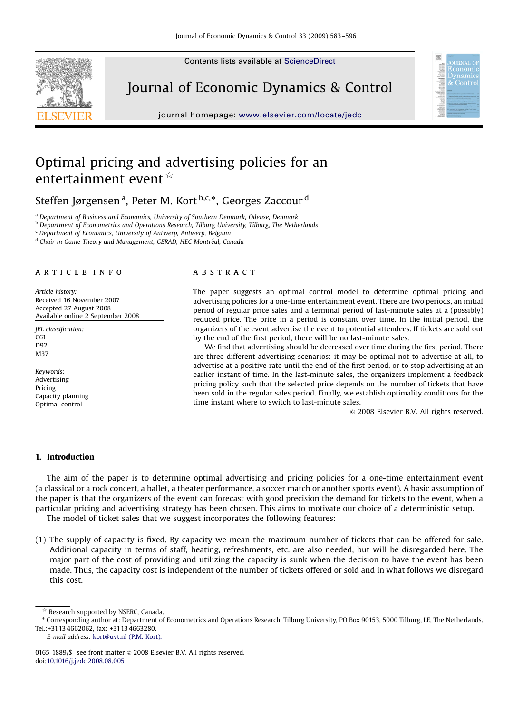Contents lists available at [ScienceDirect](www.sciencedirect.com/science/journal/dyncon)



Journal of Economic Dynamics & Control





# Optimal pricing and advertising policies for an

entertainment event  $\mathbb{R}$ 

Steffen Jørgensen <sup>a</sup>, Peter M. Kort <sup>b,c,</sup>\*, Georges Zaccour <sup>d</sup>

<sup>a</sup> Department of Business and Economics, University of Southern Denmark, Odense, Denmark

**b** Department of Econometrics and Operations Research, Tilburg University, Tilburg, The Netherlands

<sup>c</sup> Department of Economics, University of Antwerp, Antwerp, Belgium

<sup>d</sup> Chair in Game Theory and Management, GERAD, HEC Montréal, Canada

#### ARTICIE INFO

Article history: Received 16 November 2007 Accepted 27 August 2008 Available online 2 September 2008

JEL classification: C61 D92 M37

Keywords: Advertising Pricing Capacity planning Optimal control

### **ARSTRACT**

The paper suggests an optimal control model to determine optimal pricing and advertising policies for a one-time entertainment event. There are two periods, an initial period of regular price sales and a terminal period of last-minute sales at a (possibly) reduced price. The price in a period is constant over time. In the initial period, the organizers of the event advertise the event to potential attendees. If tickets are sold out by the end of the first period, there will be no last-minute sales.

We find that advertising should be decreased over time during the first period. There are three different advertising scenarios: it may be optimal not to advertise at all, to advertise at a positive rate until the end of the first period, or to stop advertising at an earlier instant of time. In the last-minute sales, the organizers implement a feedback pricing policy such that the selected price depends on the number of tickets that have been sold in the regular sales period. Finally, we establish optimality conditions for the time instant where to switch to last-minute sales.

 $\odot$  2008 Elsevier B.V. All rights reserved.

### 1. Introduction

The aim of the paper is to determine optimal advertising and pricing policies for a one-time entertainment event (a classical or a rock concert, a ballet, a theater performance, a soccer match or another sports event). A basic assumption of the paper is that the organizers of the event can forecast with good precision the demand for tickets to the event, when a particular pricing and advertising strategy has been chosen. This aims to motivate our choice of a deterministic setup.

The model of ticket sales that we suggest incorporates the following features:

(1) The supply of capacity is fixed. By capacity we mean the maximum number of tickets that can be offered for sale. Additional capacity in terms of staff, heating, refreshments, etc. are also needed, but will be disregarded here. The major part of the cost of providing and utilizing the capacity is sunk when the decision to have the event has been made. Thus, the capacity cost is independent of the number of tickets offered or sold and in what follows we disregard this cost.

E-mail address: [kort@uvt.nl \(P.M. Kort\).](mailto:kort@uvt.nl)

Research supported by NSERC, Canada.

Corresponding author at: Department of Econometrics and Operations Research, Tilburg University, PO Box 90153, 5000 Tilburg, LE, The Netherlands. Tel.:+3113 4662062, fax: +3113 4663280.

<sup>0165-1889/\$ -</sup> see front matter  $\circ$  2008 Elsevier B.V. All rights reserved. doi:[10.1016/j.jedc.2008.08.005](dx.doi.org/10.1016/j.jedc.2008.08.005)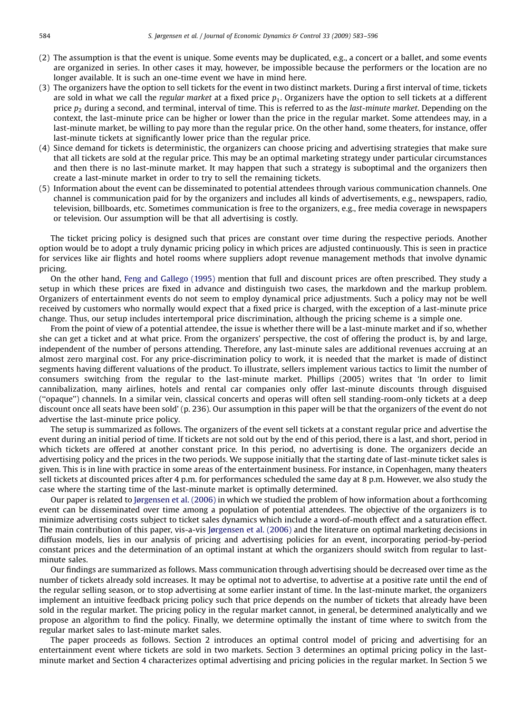- (2) The assumption is that the event is unique. Some events may be duplicated, e.g., a concert or a ballet, and some events are organized in series. In other cases it may, however, be impossible because the performers or the location are no longer available. It is such an one-time event we have in mind here.
- (3) The organizers have the option to sell tickets for the event in two distinct markets. During a first interval of time, tickets are sold in what we call the *regular market* at a fixed price  $p_1$ . Organizers have the option to sell tickets at a different price  $p_2$  during a second, and terminal, interval of time. This is referred to as the *last-minute market*. Depending on the context, the last-minute price can be higher or lower than the price in the regular market. Some attendees may, in a last-minute market, be willing to pay more than the regular price. On the other hand, some theaters, for instance, offer last-minute tickets at significantly lower price than the regular price.
- (4) Since demand for tickets is deterministic, the organizers can choose pricing and advertising strategies that make sure that all tickets are sold at the regular price. This may be an optimal marketing strategy under particular circumstances and then there is no last-minute market. It may happen that such a strategy is suboptimal and the organizers then create a last-minute market in order to try to sell the remaining tickets.
- (5) Information about the event can be disseminated to potential attendees through various communication channels. One channel is communication paid for by the organizers and includes all kinds of advertisements, e.g., newspapers, radio, television, billboards, etc. Sometimes communication is free to the organizers, e.g., free media coverage in newspapers or television. Our assumption will be that all advertising is costly.

The ticket pricing policy is designed such that prices are constant over time during the respective periods. Another option would be to adopt a truly dynamic pricing policy in which prices are adjusted continuously. This is seen in practice for services like air flights and hotel rooms where suppliers adopt revenue management methods that involve dynamic pricing.

On the other hand, [Feng and Gallego \(1995\)](#page--1-0) mention that full and discount prices are often prescribed. They study a setup in which these prices are fixed in advance and distinguish two cases, the markdown and the markup problem. Organizers of entertainment events do not seem to employ dynamical price adjustments. Such a policy may not be well received by customers who normally would expect that a fixed price is charged, with the exception of a last-minute price change. Thus, our setup includes intertemporal price discrimination, although the pricing scheme is a simple one.

From the point of view of a potential attendee, the issue is whether there will be a last-minute market and if so, whether she can get a ticket and at what price. From the organizers' perspective, the cost of offering the product is, by and large, independent of the number of persons attending. Therefore, any last-minute sales are additional revenues accruing at an almost zero marginal cost. For any price-discrimination policy to work, it is needed that the market is made of distinct segments having different valuations of the product. To illustrate, sellers implement various tactics to limit the number of consumers switching from the regular to the last-minute market. Phillips (2005) writes that 'In order to limit cannibalization, many airlines, hotels and rental car companies only offer last-minute discounts through disguised (''opaque'') channels. In a similar vein, classical concerts and operas will often sell standing-room-only tickets at a deep discount once all seats have been sold' (p. 236). Our assumption in this paper will be that the organizers of the event do not advertise the last-minute price policy.

The setup is summarized as follows. The organizers of the event sell tickets at a constant regular price and advertise the event during an initial period of time. If tickets are not sold out by the end of this period, there is a last, and short, period in which tickets are offered at another constant price. In this period, no advertising is done. The organizers decide an advertising policy and the prices in the two periods. We suppose initially that the starting date of last-minute ticket sales is given. This is in line with practice in some areas of the entertainment business. For instance, in Copenhagen, many theaters sell tickets at discounted prices after 4 p.m. for performances scheduled the same day at 8 p.m. However, we also study the case where the starting time of the last-minute market is optimally determined.

Our paper is related to [Jørgensen et al. \(2006\)](#page--1-0) in which we studied the problem of how information about a forthcoming event can be disseminated over time among a population of potential attendees. The objective of the organizers is to minimize advertising costs subject to ticket sales dynamics which include a word-of-mouth effect and a saturation effect. The main contribution of this paper, vis-a-vis [Jørgensen et al. \(2006\)](#page--1-0) and the literature on optimal marketing decisions in diffusion models, lies in our analysis of pricing and advertising policies for an event, incorporating period-by-period constant prices and the determination of an optimal instant at which the organizers should switch from regular to lastminute sales.

Our findings are summarized as follows. Mass communication through advertising should be decreased over time as the number of tickets already sold increases. It may be optimal not to advertise, to advertise at a positive rate until the end of the regular selling season, or to stop advertising at some earlier instant of time. In the last-minute market, the organizers implement an intuitive feedback pricing policy such that price depends on the number of tickets that already have been sold in the regular market. The pricing policy in the regular market cannot, in general, be determined analytically and we propose an algorithm to find the policy. Finally, we determine optimally the instant of time where to switch from the regular market sales to last-minute market sales.

The paper proceeds as follows. Section 2 introduces an optimal control model of pricing and advertising for an entertainment event where tickets are sold in two markets. Section 3 determines an optimal pricing policy in the lastminute market and Section 4 characterizes optimal advertising and pricing policies in the regular market. In Section 5 we